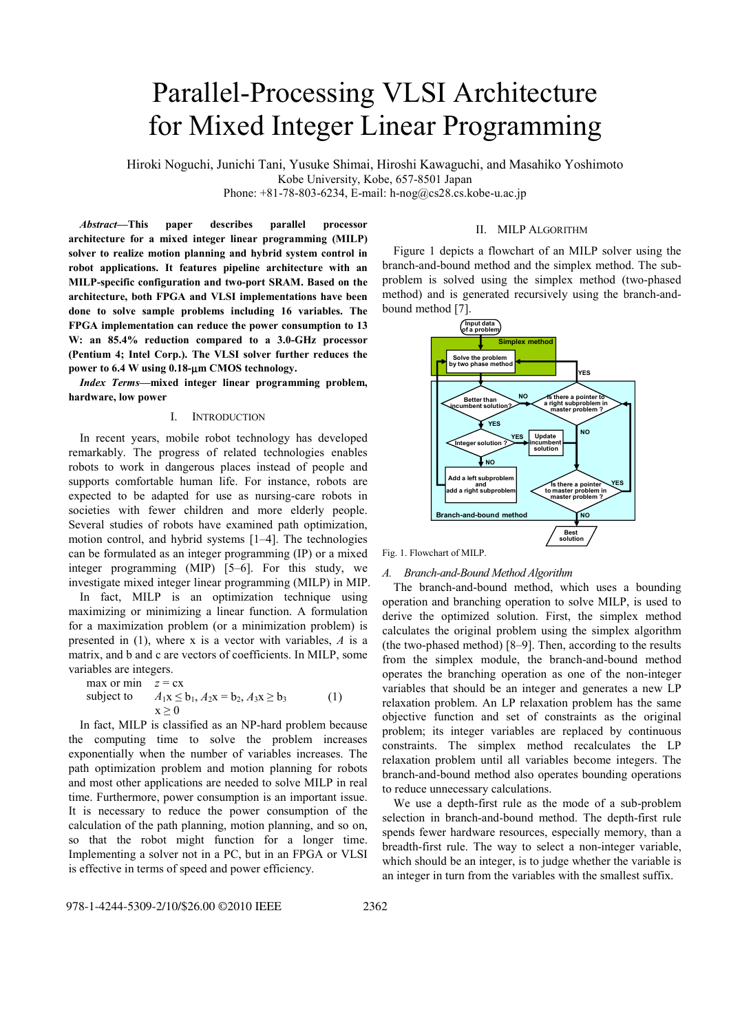# Parallel-Processing VLSI Architecture for Mixed Integer Linear Programming

Hiroki Noguchi, Junichi Tani, Yusuke Shimai, Hiroshi Kawaguchi, and Masahiko Yoshimoto Kobe University, Kobe, 657-8501 Japan Phone: +81-78-803-6234, E-mail: h-nog@cs28.cs.kobe-u.ac.jp

*Abstract––***This paper describes parallel processor architecture for a mixed integer linear programming (MILP) solver to realize motion planning and hybrid system control in robot applications. It features pipeline architecture with an MILP-specific configuration and two-port SRAM. Based on the architecture, both FPGA and VLSI implementations have been done to solve sample problems including 16 variables. The FPGA implementation can reduce the power consumption to 13 W: an 85.4% reduction compared to a 3.0-GHz processor (Pentium 4; Intel Corp.). The VLSI solver further reduces the power to 6.4 W using 0.18-**μ**m CMOS technology.** 

*Index Terms––***mixed integer linear programming problem, hardware, low power**

## I. INTRODUCTION

In recent years, mobile robot technology has developed remarkably. The progress of related technologies enables robots to work in dangerous places instead of people and supports comfortable human life. For instance, robots are expected to be adapted for use as nursing-care robots in societies with fewer children and more elderly people. Several studies of robots have examined path optimization, motion control, and hybrid systems [1–4]. The technologies can be formulated as an integer programming (IP) or a mixed integer programming (MIP) [5–6]. For this study, we investigate mixed integer linear programming (MILP) in MIP.

In fact, MILP is an optimization technique using maximizing or minimizing a linear function. A formulation for a maximization problem (or a minimization problem) is presented in (1), where x is a vector with variables, *A* is a matrix, and b and c are vectors of coefficients. In MILP, some variables are integers.

max or min 
$$
z = cx
$$
  
\nsubject to  $A_1x \le b_1, A_2x = b_2, A_3x \ge b_3$  (1)  
\n $x \ge 0$ 

In fact, MILP is classified as an NP-hard problem because the computing time to solve the problem increases exponentially when the number of variables increases. The path optimization problem and motion planning for robots and most other applications are needed to solve MILP in real time. Furthermore, power consumption is an important issue. It is necessary to reduce the power consumption of the calculation of the path planning, motion planning, and so on, so that the robot might function for a longer time. Implementing a solver not in a PC, but in an FPGA or VLSI is effective in terms of speed and power efficiency.

## II. MILP ALGORITHM

Figure 1 depicts a flowchart of an MILP solver using the branch-and-bound method and the simplex method. The subproblem is solved using the simplex method (two-phased method) and is generated recursively using the branch-andbound method [7].



Fig. 1. Flowchart of MILP.

*A. Branch-and-Bound Method Algorithm* 

The branch-and-bound method, which uses a bounding operation and branching operation to solve MILP, is used to derive the optimized solution. First, the simplex method calculates the original problem using the simplex algorithm (the two-phased method) [8–9]. Then, according to the results from the simplex module, the branch-and-bound method operates the branching operation as one of the non-integer variables that should be an integer and generates a new LP relaxation problem. An LP relaxation problem has the same objective function and set of constraints as the original problem; its integer variables are replaced by continuous constraints. The simplex method recalculates the LP relaxation problem until all variables become integers. The branch-and-bound method also operates bounding operations to reduce unnecessary calculations.

We use a depth-first rule as the mode of a sub-problem selection in branch-and-bound method. The depth-first rule spends fewer hardware resources, especially memory, than a breadth-first rule. The way to select a non-integer variable, which should be an integer, is to judge whether the variable is an integer in turn from the variables with the smallest suffix.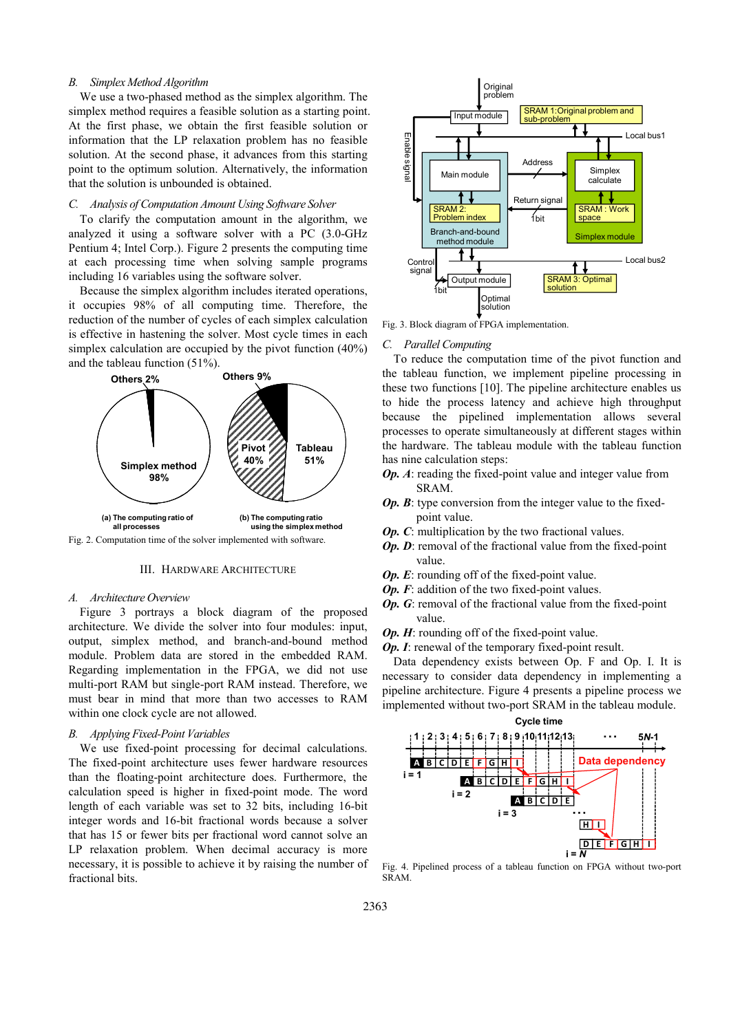## *B. Simplex Method Algorithm*

We use a two-phased method as the simplex algorithm. The simplex method requires a feasible solution as a starting point. At the first phase, we obtain the first feasible solution or information that the LP relaxation problem has no feasible solution. At the second phase, it advances from this starting point to the optimum solution. Alternatively, the information that the solution is unbounded is obtained.

## *C. Analysis of Computation Amount Using Software Solver*

To clarify the computation amount in the algorithm, we analyzed it using a software solver with a PC (3.0-GHz Pentium 4; Intel Corp.). Figure 2 presents the computing time at each processing time when solving sample programs including 16 variables using the software solver.

Because the simplex algorithm includes iterated operations, it occupies 98% of all computing time. Therefore, the reduction of the number of cycles of each simplex calculation is effective in hastening the solver. Most cycle times in each simplex calculation are occupied by the pivot function (40%) and the tableau function (51%).



Fig. 2. Computation time of the solver implemented with software.

#### III. HARDWARE ARCHITECTURE

## *A. Architecture Overview*

Figure 3 portrays a block diagram of the proposed architecture. We divide the solver into four modules: input, output, simplex method, and branch-and-bound method module. Problem data are stored in the embedded RAM. Regarding implementation in the FPGA, we did not use multi-port RAM but single-port RAM instead. Therefore, we must bear in mind that more than two accesses to RAM within one clock cycle are not allowed.

#### *B. Applying Fixed-Point Variables*

We use fixed-point processing for decimal calculations. The fixed-point architecture uses fewer hardware resources than the floating-point architecture does. Furthermore, the calculation speed is higher in fixed-point mode. The word length of each variable was set to 32 bits, including 16-bit integer words and 16-bit fractional words because a solver that has 15 or fewer bits per fractional word cannot solve an LP relaxation problem. When decimal accuracy is more necessary, it is possible to achieve it by raising the number of fractional bits.



Fig. 3. Block diagram of FPGA implementation.

## *C. Parallel Computing*

To reduce the computation time of the pivot function and the tableau function, we implement pipeline processing in these two functions [10]. The pipeline architecture enables us to hide the process latency and achieve high throughput because the pipelined implementation allows several processes to operate simultaneously at different stages within the hardware. The tableau module with the tableau function has nine calculation steps:

- *Op. A*: reading the fixed-point value and integer value from SRAM.
- *Op. B*: type conversion from the integer value to the fixedpoint value.
- *Op. C*: multiplication by the two fractional values.
- *Op. D*: removal of the fractional value from the fixed-point value.
- *Op. E*: rounding off of the fixed-point value.
- *Op.* F: addition of the two fixed-point values.
- *Op. G*: removal of the fractional value from the fixed-point value.
- *Op. H*: rounding off of the fixed-point value.
- *Op. I*: renewal of the temporary fixed-point result.

Data dependency exists between Op. F and Op. I. It is necessary to consider data dependency in implementing a pipeline architecture. Figure 4 presents a pipeline process we implemented without two-port SRAM in the tableau module.



Fig. 4. Pipelined process of a tableau function on FPGA without two-port SRAM.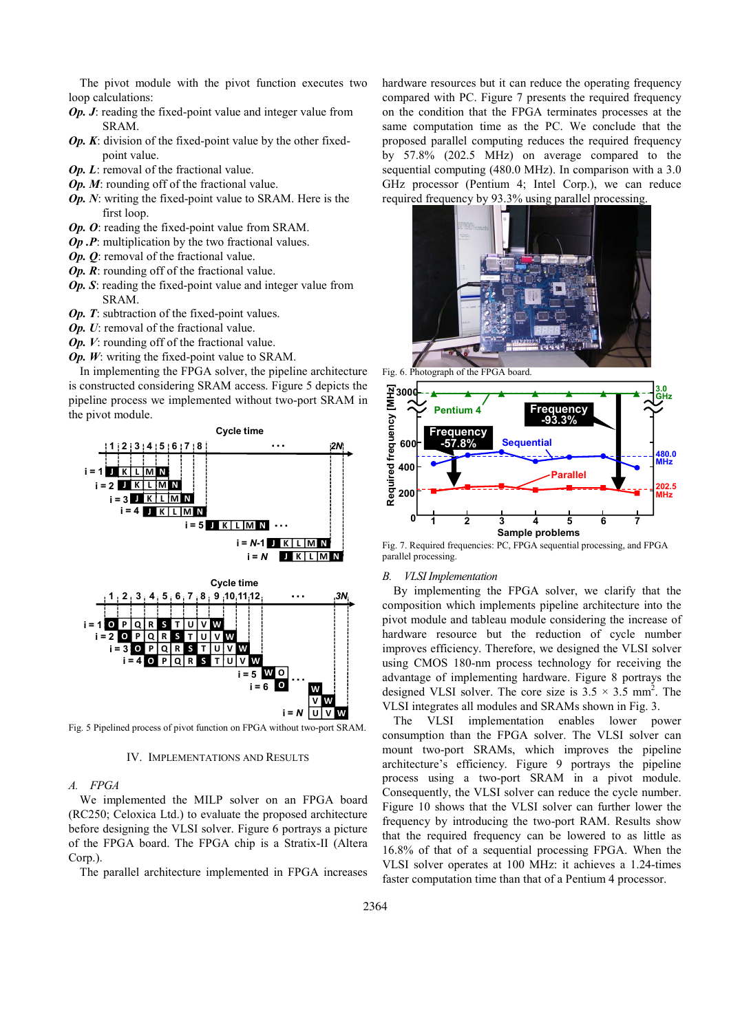The pivot module with the pivot function executes two loop calculations:

- *Op. J*: reading the fixed-point value and integer value from SRAM.
- *Op. K*: division of the fixed-point value by the other fixedpoint value.
- *Op. L*: removal of the fractional value.
- *Op. M*: rounding off of the fractional value.
- *Op. N*: writing the fixed-point value to SRAM. Here is the first loop.
- *Op. O*: reading the fixed-point value from SRAM.
- *Op .P*: multiplication by the two fractional values.
- *Op. Q*: removal of the fractional value.
- *Op. R:* rounding off of the fractional value.
- *Op.* S: reading the fixed-point value and integer value from SRAM.
- *Op. T*: subtraction of the fixed-point values.
- *Op. U*: removal of the fractional value.
- *Op. V*: rounding off of the fractional value.
- *Op. W*: writing the fixed-point value to SRAM.

In implementing the FPGA solver, the pipeline architecture is constructed considering SRAM access. Figure 5 depicts the pipeline process we implemented without two-port SRAM in the pivot module.



Fig. 5 Pipelined process of pivot function on FPGA without two-port SRAM.

## IV. IMPLEMENTATIONS AND RESULTS

## *A. FPGA*

We implemented the MILP solver on an FPGA board (RC250; Celoxica Ltd.) to evaluate the proposed architecture before designing the VLSI solver. Figure 6 portrays a picture of the FPGA board. The FPGA chip is a Stratix-II (Altera Corp.).

The parallel architecture implemented in FPGA increases

hardware resources but it can reduce the operating frequency compared with PC. Figure 7 presents the required frequency on the condition that the FPGA terminates processes at the same computation time as the PC. We conclude that the proposed parallel computing reduces the required frequency by 57.8% (202.5 MHz) on average compared to the sequential computing (480.0 MHz). In comparison with a 3.0 GHz processor (Pentium 4; Intel Corp.), we can reduce required frequency by 93.3% using parallel processing.



Fig. 6. Photograph of the FPGA board.



Fig. 7. Required frequencies: PC, FPGA sequential processing, and FPGA parallel processing.

#### *B. VLSI Implementation*

By implementing the FPGA solver, we clarify that the composition which implements pipeline architecture into the pivot module and tableau module considering the increase of hardware resource but the reduction of cycle number improves efficiency. Therefore, we designed the VLSI solver using CMOS 180-nm process technology for receiving the advantage of implementing hardware. Figure 8 portrays the designed VLSI solver. The core size is  $3.5 \times 3.5$  mm<sup>2</sup>. The VLSI integrates all modules and SRAMs shown in Fig. 3.

The VLSI implementation enables lower power consumption than the FPGA solver. The VLSI solver can mount two-port SRAMs, which improves the pipeline architecture's efficiency. Figure 9 portrays the pipeline process using a two-port SRAM in a pivot module. Consequently, the VLSI solver can reduce the cycle number. Figure 10 shows that the VLSI solver can further lower the frequency by introducing the two-port RAM. Results show that the required frequency can be lowered to as little as 16.8% of that of a sequential processing FPGA. When the VLSI solver operates at 100 MHz: it achieves a 1.24-times faster computation time than that of a Pentium 4 processor.